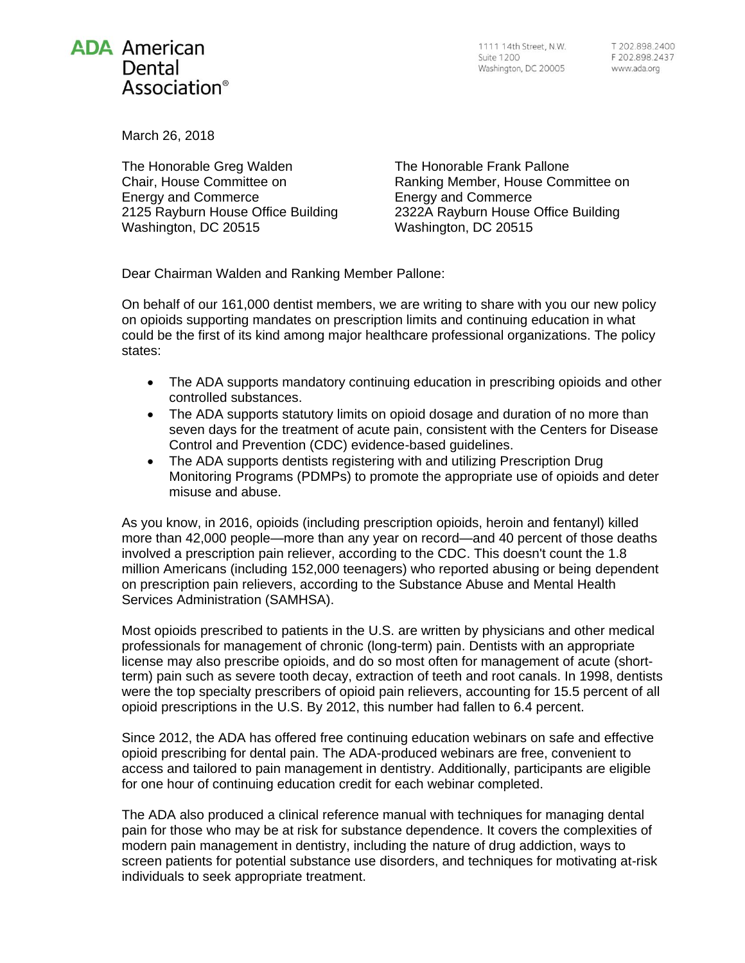## **ADA American** Dental Association<sup>®</sup>

March 26, 2018

The Honorable Greg Walden Chair, House Committee on Energy and Commerce 2125 Rayburn House Office Building Washington, DC 20515

The Honorable Frank Pallone Ranking Member, House Committee on Energy and Commerce 2322A Rayburn House Office Building Washington, DC 20515

Dear Chairman Walden and Ranking Member Pallone:

On behalf of our 161,000 dentist members, we are writing to share with you our new policy on opioids supporting mandates on prescription limits and continuing education in what could be the first of its kind among major healthcare professional organizations. The policy states:

- The ADA supports mandatory continuing education in prescribing opioids and other controlled substances.
- The ADA supports statutory limits on opioid dosage and duration of no more than seven days for the treatment of acute pain, consistent with the Centers for Disease Control and Prevention (CDC) evidence-based guidelines.
- The ADA supports dentists registering with and utilizing Prescription Drug Monitoring Programs (PDMPs) to promote the appropriate use of opioids and deter misuse and abuse.

As you know, in 2016, opioids (including prescription opioids, heroin and fentanyl) killed more than 42,000 people—more than any year on record—and 40 percent of those deaths involved a prescription pain reliever, according to the CDC. This doesn't count the 1.8 million Americans (including 152,000 teenagers) who reported abusing or being dependent on prescription pain relievers, according to the Substance Abuse and Mental Health Services Administration (SAMHSA).

Most opioids prescribed to patients in the U.S. are written by physicians and other medical professionals for management of chronic (long-term) pain. Dentists with an appropriate license may also prescribe opioids, and do so most often for management of acute (shortterm) pain such as severe tooth decay, extraction of teeth and root canals. In 1998, dentists were the top specialty prescribers of opioid pain relievers, accounting for 15.5 percent of all opioid prescriptions in the U.S. By 2012, this number had fallen to 6.4 percent.

Since 2012, the ADA has offered free continuing education webinars on safe and effective opioid prescribing for dental pain. The ADA-produced webinars are free, convenient to access and tailored to pain management in dentistry. Additionally, participants are eligible for one hour of continuing education credit for each webinar completed.

The ADA also produced a clinical reference manual with techniques for managing dental pain for those who may be at risk for substance dependence. It covers the complexities of modern pain management in dentistry, including the nature of drug addiction, ways to screen patients for potential substance use disorders, and techniques for motivating at-risk individuals to seek appropriate treatment.